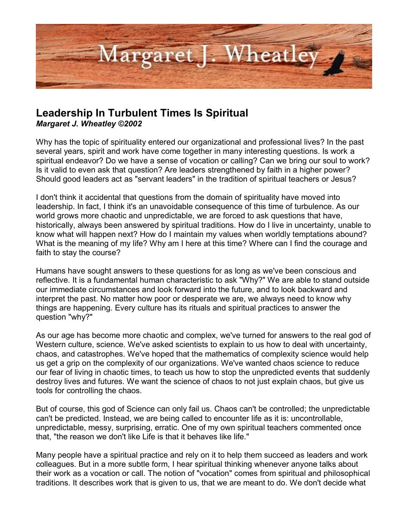

# **Leadership In Turbulent Times Is Spiritual**

*Margaret J. Wheatley ©2002*

Why has the topic of spirituality entered our organizational and professional lives? In the past several years, spirit and work have come together in many interesting questions. Is work a spiritual endeavor? Do we have a sense of vocation or calling? Can we bring our soul to work? Is it valid to even ask that question? Are leaders strengthened by faith in a higher power? Should good leaders act as "servant leaders" in the tradition of spiritual teachers or Jesus?

I don't think it accidental that questions from the domain of spirituality have moved into leadership. In fact, I think it's an unavoidable consequence of this time of turbulence. As our world grows more chaotic and unpredictable, we are forced to ask questions that have, historically, always been answered by spiritual traditions. How do I live in uncertainty, unable to know what will happen next? How do I maintain my values when worldly temptations abound? What is the meaning of my life? Why am I here at this time? Where can I find the courage and faith to stay the course?

Humans have sought answers to these questions for as long as we've been conscious and reflective. It is a fundamental human characteristic to ask "Why?" We are able to stand outside our immediate circumstances and look forward into the future, and to look backward and interpret the past. No matter how poor or desperate we are, we always need to know why things are happening. Every culture has its rituals and spiritual practices to answer the question "why?"

As our age has become more chaotic and complex, we've turned for answers to the real god of Western culture, science. We've asked scientists to explain to us how to deal with uncertainty, chaos, and catastrophes. We've hoped that the mathematics of complexity science would help us get a grip on the complexity of our organizations. We've wanted chaos science to reduce our fear of living in chaotic times, to teach us how to stop the unpredicted events that suddenly destroy lives and futures. We want the science of chaos to not just explain chaos, but give us tools for controlling the chaos.

But of course, this god of Science can only fail us. Chaos can't be controlled; the unpredictable can't be predicted. Instead, we are being called to encounter life as it is: uncontrollable, unpredictable, messy, surprising, erratic. One of my own spiritual teachers commented once that, "the reason we don't like Life is that it behaves like life."

Many people have a spiritual practice and rely on it to help them succeed as leaders and work colleagues. But in a more subtle form, I hear spiritual thinking whenever anyone talks about their work as a vocation or call. The notion of "vocation" comes from spiritual and philosophical traditions. It describes work that is given to us, that we are meant to do. We don't decide what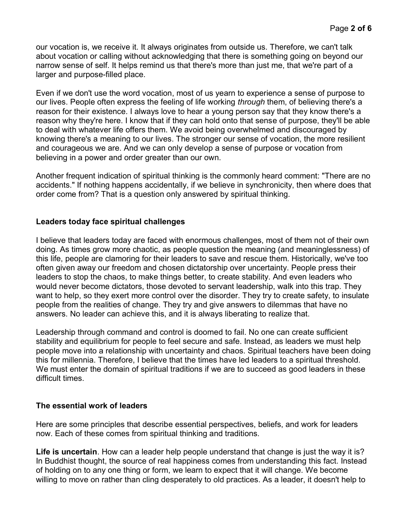our vocation is, we receive it. It always originates from outside us. Therefore, we can't talk about vocation or calling without acknowledging that there is something going on beyond our narrow sense of self. It helps remind us that there's more than just me, that we're part of a larger and purpose-filled place.

Even if we don't use the word vocation, most of us yearn to experience a sense of purpose to our lives. People often express the feeling of life working *through* them, of believing there's a reason for their existence. I always love to hear a young person say that they know there's a reason why they're here. I know that if they can hold onto that sense of purpose, they'll be able to deal with whatever life offers them. We avoid being overwhelmed and discouraged by knowing there's a meaning to our lives. The stronger our sense of vocation, the more resilient and courageous we are. And we can only develop a sense of purpose or vocation from believing in a power and order greater than our own.

Another frequent indication of spiritual thinking is the commonly heard comment: "There are no accidents." If nothing happens accidentally, if we believe in synchronicity, then where does that order come from? That is a question only answered by spiritual thinking.

#### **Leaders today face spiritual challenges**

I believe that leaders today are faced with enormous challenges, most of them not of their own doing. As times grow more chaotic, as people question the meaning (and meaninglessness) of this life, people are clamoring for their leaders to save and rescue them. Historically, we've too often given away our freedom and chosen dictatorship over uncertainty. People press their leaders to stop the chaos, to make things better, to create stability. And even leaders who would never become dictators, those devoted to servant leadership, walk into this trap. They want to help, so they exert more control over the disorder. They try to create safety, to insulate people from the realities of change. They try and give answers to dilemmas that have no answers. No leader can achieve this, and it is always liberating to realize that.

Leadership through command and control is doomed to fail. No one can create sufficient stability and equilibrium for people to feel secure and safe. Instead, as leaders we must help people move into a relationship with uncertainty and chaos. Spiritual teachers have been doing this for millennia. Therefore, I believe that the times have led leaders to a spiritual threshold. We must enter the domain of spiritual traditions if we are to succeed as good leaders in these difficult times.

#### **The essential work of leaders**

Here are some principles that describe essential perspectives, beliefs, and work for leaders now. Each of these comes from spiritual thinking and traditions.

**Life is uncertain**. How can a leader help people understand that change is just the way it is? In Buddhist thought, the source of real happiness comes from understanding this fact. Instead of holding on to any one thing or form, we learn to expect that it will change. We become willing to move on rather than cling desperately to old practices. As a leader, it doesn't help to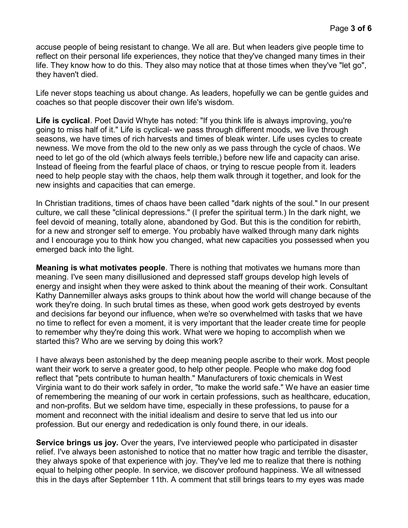accuse people of being resistant to change. We all are. But when leaders give people time to reflect on their personal life experiences, they notice that they've changed many times in their life. They know how to do this. They also may notice that at those times when they've "let go", they haven't died.

Life never stops teaching us about change. As leaders, hopefully we can be gentle guides and coaches so that people discover their own life's wisdom.

Life is cyclical. Poet David Whyte has noted: "If you think life is always improving, you're going to miss half of it." Life is cyclical- we pass through different moods, we live through seasons, we have times of rich harvests and times of bleak winter. Life uses cycles to create newness. We move from the old to the new only as we pass through the cycle of chaos. We need to let go of the old (which always feels terrible,) before new life and capacity can arise. Instead of fleeing from the fearful place of chaos, or trying to rescue people from it. leaders need to help people stay with the chaos, help them walk through it together, and look for the new insights and capacities that can emerge.

In Christian traditions, times of chaos have been called "dark nights of the soul." In our present culture, we call these "clinical depressions." (I prefer the spiritual term.) In the dark night, we feel devoid of meaning, totally alone, abandoned by God. But this is the condition for rebirth, for a new and stronger self to emerge. You probably have walked through many dark nights and I encourage you to think how you changed, what new capacities you possessed when you emerged back into the light.

**Meaning is what motivates people**. There is nothing that motivates we humans more than meaning. I've seen many disillusioned and depressed staff groups develop high levels of energy and insight when they were asked to think about the meaning of their work. Consultant Kathy Dannemiller always asks groups to think about how the world will change because of the work they're doing. In such brutal times as these, when good work gets destroyed by events and decisions far beyond our influence, when we're so overwhelmed with tasks that we have no time to reflect for even a moment, it is very important that the leader create time for people to remember why they're doing this work. What were we hoping to accomplish when we started this? Who are we serving by doing this work?

I have always been astonished by the deep meaning people ascribe to their work. Most people want their work to serve a greater good, to help other people. People who make dog food reflect that "pets contribute to human health." Manufacturers of toxic chemicals in West Virginia want to do their work safely in order, "to make the world safe." We have an easier time of remembering the meaning of our work in certain professions, such as healthcare, education, and non-profits. But we seldom have time, especially in these professions, to pause for a moment and reconnect with the initial idealism and desire to serve that led us into our profession. But our energy and rededication is only found there, in our ideals.

**Service brings us joy.** Over the years, I've interviewed people who participated in disaster relief. I've always been astonished to notice that no matter how tragic and terrible the disaster, they always spoke of that experience with joy. They've led me to realize that there is nothing equal to helping other people. In service, we discover profound happiness. We all witnessed this in the days after September 11th. A comment that still brings tears to my eyes was made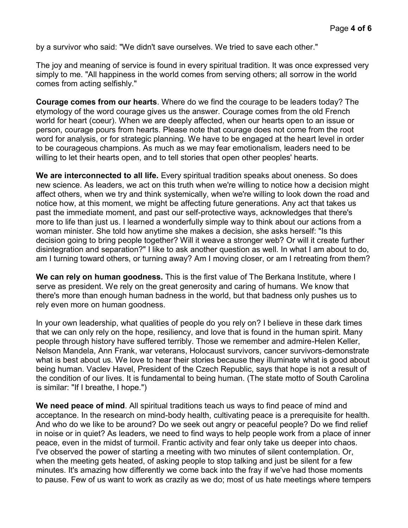by a survivor who said: "We didn't save ourselves. We tried to save each other."

The joy and meaning of service is found in every spiritual tradition. It was once expressed very simply to me. "All happiness in the world comes from serving others; all sorrow in the world comes from acting selfishly."

**Courage comes from our hearts**. Where do we find the courage to be leaders today? The etymology of the word courage gives us the answer. Courage comes from the old French world for heart (coeur). When we are deeply affected, when our hearts open to an issue or person, courage pours from hearts. Please note that courage does not come from the root word for analysis, or for strategic planning. We have to be engaged at the heart level in order to be courageous champions. As much as we may fear emotionalism, leaders need to be willing to let their hearts open, and to tell stories that open other peoples' hearts.

**We are interconnected to all life.** Every spiritual tradition speaks about oneness. So does new science. As leaders, we act on this truth when we're willing to notice how a decision might affect others, when we try and think systemically, when we're willing to look down the road and notice how, at this moment, we might be affecting future generations. Any act that takes us past the immediate moment, and past our self-protective ways, acknowledges that there's more to life than just us. I learned a wonderfully simple way to think about our actions from a woman minister. She told how anytime she makes a decision, she asks herself: "Is this decision going to bring people together? Will it weave a stronger web? Or will it create further disintegration and separation?" I like to ask another question as well. In what I am about to do, am I turning toward others, or turning away? Am I moving closer, or am I retreating from them?

**We can rely on human goodness.** This is the first value of The Berkana Institute, where I serve as president. We rely on the great generosity and caring of humans. We know that there's more than enough human badness in the world, but that badness only pushes us to rely even more on human goodness.

In your own leadership, what qualities of people do you rely on? I believe in these dark times that we can only rely on the hope, resiliency, and love that is found in the human spirit. Many people through history have suffered terribly. Those we remember and admire-Helen Keller, Nelson Mandela, Ann Frank, war veterans, Holocaust survivors, cancer survivors-demonstrate what is best about us. We love to hear their stories because they illuminate what is good about being human. Vaclev Havel, President of the Czech Republic, says that hope is not a result of the condition of our lives. It is fundamental to being human. (The state motto of South Carolina is similar: "If I breathe, I hope.")

**We need peace of mind**. All spiritual traditions teach us ways to find peace of mind and acceptance. In the research on mind-body health, cultivating peace is a prerequisite for health. And who do we like to be around? Do we seek out angry or peaceful people? Do we find relief in noise or in quiet? As leaders, we need to find ways to help people work from a place of inner peace, even in the midst of turmoil. Frantic activity and fear only take us deeper into chaos. I've observed the power of starting a meeting with two minutes of silent contemplation. Or, when the meeting gets heated, of asking people to stop talking and just be silent for a few minutes. It's amazing how differently we come back into the fray if we've had those moments to pause. Few of us want to work as crazily as we do; most of us hate meetings where tempers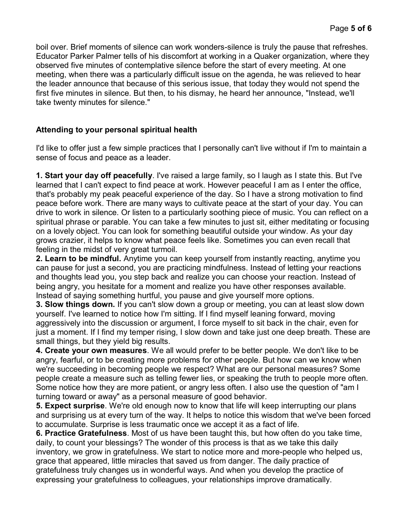boil over. Brief moments of silence can work wonders-silence is truly the pause that refreshes. Educator Parker Palmer tells of his discomfort at working in a Quaker organization, where they observed five minutes of contemplative silence before the start of every meeting. At one meeting, when there was a particularly difficult issue on the agenda, he was relieved to hear the leader announce that because of this serious issue, that today they would not spend the first five minutes in silence. But then, to his dismay, he heard her announce, "Instead, we'll take twenty minutes for silence."

## **Attending to your personal spiritual health**

I'd like to offer just a few simple practices that I personally can't live without if I'm to maintain a sense of focus and peace as a leader.

**1. Start your day off peacefully**. I've raised a large family, so I laugh as I state this. But I've learned that I can't expect to find peace at work. However peaceful I am as I enter the office, that's probably my peak peaceful experience of the day. So I have a strong motivation to find peace before work. There are many ways to cultivate peace at the start of your day. You can drive to work in silence. Or listen to a particularly soothing piece of music. You can reflect on a spiritual phrase or parable. You can take a few minutes to just sit, either meditating or focusing on a lovely object. You can look for something beautiful outside your window. As your day grows crazier, it helps to know what peace feels like. Sometimes you can even recall that feeling in the midst of very great turmoil.

**2. Learn to be mindful.** Anytime you can keep yourself from instantly reacting, anytime you can pause for just a second, you are practicing mindfulness. Instead of letting your reactions and thoughts lead you, you step back and realize you can choose your reaction. Instead of being angry, you hesitate for a moment and realize you have other responses available. Instead of saying something hurtful, you pause and give yourself more options.

**3. Slow things down.** If you can't slow down a group or meeting, you can at least slow down yourself. I've learned to notice how I'm sitting. If I find myself leaning forward, moving aggressively into the discussion or argument, I force myself to sit back in the chair, even for just a moment. If I find my temper rising, I slow down and take just one deep breath. These are small things, but they yield big results.

**4. Create your own measures**. We all would prefer to be better people. We don't like to be angry, fearful, or to be creating more problems for other people. But how can we know when we're succeeding in becoming people we respect? What are our personal measures? Some people create a measure such as telling fewer lies, or speaking the truth to people more often. Some notice how they are more patient, or angry less often. I also use the question of "am I turning toward or away" as a personal measure of good behavior.

**5. Expect surprise**. We're old enough now to know that life will keep interrupting our plans and surprising us at every turn of the way. It helps to notice this wisdom that we've been forced to accumulate. Surprise is less traumatic once we accept it as a fact of life.

**6. Practice Gratefulness**. Most of us have been taught this, but how often do you take time, daily, to count your blessings? The wonder of this process is that as we take this daily inventory, we grow in gratefulness. We start to notice more and more-people who helped us, grace that appeared, little miracles that saved us from danger. The daily practice of gratefulness truly changes us in wonderful ways. And when you develop the practice of expressing your gratefulness to colleagues, your relationships improve dramatically.